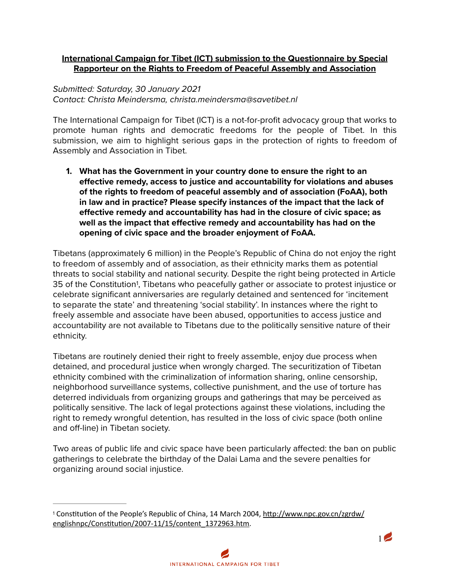### **International Campaign for Tibet (ICT) submission to the Questionnaire by Special Rapporteur on the Rights to Freedom of Peaceful Assembly and Association**

# *Submitted: Saturday, 30 January 2021 Contact: Christa Meindersma, christa.meindersma@savetibet.nl*

The International Campaign for Tibet (ICT) is a not-for-profit advocacy group that works to promote human rights and democratic freedoms for the people of Tibet. In this submission, we aim to highlight serious gaps in the protection of rights to freedom of Assembly and Association in Tibet.

**1. What has the Government in your country done to ensure the right to an effective remedy, access to justice and accountability for violations and abuses of the rights to freedom of peaceful assembly and of association (FoAA), both in law and in practice? Please specify instances of the impact that the lack of effective remedy and accountability has had in the closure of civic space; as well as the impact that effective remedy and accountability has had on the opening of civic space and the broader enjoyment of FoAA.** 

<span id="page-0-1"></span>Tibetans (approximately 6 million) in the People's Republic of China do not enjoy the right to freedom of assembly and of association, as their ethnicity marks them as potential threats to social stability and national security. Despite the right being protected in Article 35 of the Constitution<sup>[1](#page-0-0)</sup>, Tibetans who peacefully gather or associate to protest injustice or celebrate significant anniversaries are regularly detained and sentenced for 'incitement to separate the state' and threatening 'social stability'. In instances where the right to freely assemble and associate have been abused, opportunities to access justice and accountability are not available to Tibetans due to the politically sensitive nature of their ethnicity.

Tibetans are routinely denied their right to freely assemble, enjoy due process when detained, and procedural justice when wrongly charged. The securitization of Tibetan ethnicity combined with the criminalization of information sharing, online censorship, neighborhood surveillance systems, collective punishment, and the use of torture has deterred individuals from organizing groups and gatherings that may be perceived as politically sensitive. The lack of legal protections against these violations, including the right to remedy wrongful detention, has resulted in the loss of civic space (both online and off-line) in Tibetan society.

Two areas of public life and civic space have been particularly affected: the ban on public gatherings to celebrate the birthday of the Dalai Lama and the severe penalties for organizing around social injustice.



<span id="page-0-0"></span><sup>&</sup>lt;sup>[1](#page-0-1)</sup> Constitution of the People's Republic of China, 14 March 2004, http://www.npc.gov.cn/zgrdw/ englishnpc/Constitution/2007-11/15/content\_1372963.htm.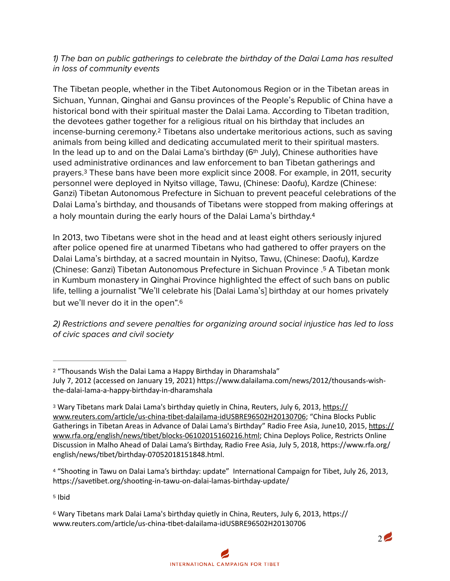## *1) The ban on public gatherings to celebrate the birthday of the Dalai Lama has resulted in loss of community events*

<span id="page-1-5"></span>The Tibetan people, whether in the Tibet Autonomous Region or in the Tibetan areas in Sichuan, Yunnan, Qinghai and Gansu provinces of the People's Republic of China have a historical bond with their spiritual master the Dalai Lama. According to Tibetan tradition, the devotees gather together for a religious ritual on his birthday that includes an incense-burning ceremony[.](#page-1-0)<sup>[2](#page-1-0)</sup> Tibetans also undertake meritorious actions, such as saving animals from being killed and dedicating accumulated merit to their spiritual masters. In the lead up to and on the Dalai Lama's birthday ( $6<sup>th</sup>$  July), Chinese authorities have used administrative ordinances and law enforcement to ban Tibetan gatherings and prayers.<sup>3</sup> These bans have been more explicit since 2008[.](#page-1-1) For example, in 2011, security personnel were deployed in Nyitso village, Tawu, (Chinese: Daofu), Kardze (Chinese: Ganzi) Tibetan Autonomous Prefecture in Sichuan to prevent peaceful celebrations of the Dalai Lama's birthday, and thousands of Tibetans were stopped from making offerings at a holy mountain during the early hours of the Dalai Lama's birthday[.4](#page-1-2)

<span id="page-1-8"></span><span id="page-1-7"></span><span id="page-1-6"></span>In 2013, two Tibetans were shot in the head and at least eight others seriously injured after police opened fire at unarmed Tibetans who had gathered to offer prayers on the Dalai Lama's birthday, at a sacred mountain in Nyitso, Tawu, (Chinese: Daofu), Kardze (Chinese: Ganzi) Tibetan Autonomous Prefecture in Sichuan Province . A Tibetan monk [5](#page-1-3) in Kumbum monastery in Qinghai Province highlighted the effect of such bans on public life, telling a journalist "We'll celebrate his [Dalai Lama's] birthday at our homes privately but we'll never do it in the open"[.6](#page-1-4)

<span id="page-1-9"></span>*2) Restrictions and severe penalties for organizing around social injustice has led to loss of civic spaces and civil society* 

<span id="page-1-2"></span><sup>[4](#page-1-7)</sup> "Shooting in Tawu on Dalai Lama's birthday: update" International Campaign for Tibet, July 26, 2013, https://savetibet.org/shooting-in-tawu-on-dalai-lamas-birthday-update/

<span id="page-1-3"></span>[5](#page-1-8) Ibid



<span id="page-1-0"></span> <sup>&</sup>quot;Thousands Wish the Dalai Lama a Happy Birthday in Dharamshala" [2](#page-1-5)

July 7, 2012 (accessed on January 19, 2021) https://www.dalailama.com/news/2012/thousands-wishthe-dalai-lama-a-happy-birthday-in-dharamshala

<span id="page-1-1"></span><sup>&</sup>lt;sup>[3](#page-1-6)</sup> Wary Tibetans mark Dalai Lama's birthday quietly in China, Reuters, July 6, 2013, https:// www.reuters.com/article/us-china-tibet-dalailama-idUSBRE96502H20130706; "China Blocks Public Gatherings in Tibetan Areas in Advance of Dalai Lama's Birthday" Radio Free Asia, June10, 2015, https:// www.rfa.org/english/news/tibet/blocks-06102015160216.html; China Deploys Police, Restricts Online Discussion in Malho Ahead of Dalai Lama's Birthday, Radio Free Asia, July 5, 2018, https://www.rfa.org/ english/news/tibet/birthday-07052018151848.html.

<span id="page-1-4"></span><sup>&</sup>lt;sup>[6](#page-1-9)</sup> Wary Tibetans mark Dalai Lama's birthday quietly in China, Reuters, July 6, 2013, https:// www.reuters.com/article/us-china-tibet-dalailama-idUSBRE96502H20130706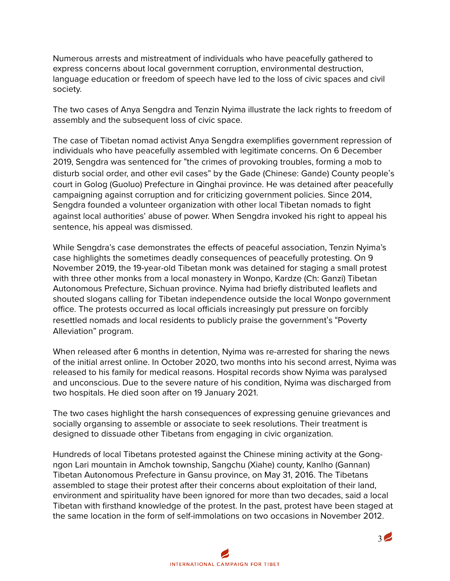Numerous arrests and mistreatment of individuals who have peacefully gathered to express concerns about local government corruption, environmental destruction, language education or freedom of speech have led to the loss of civic spaces and civil society.

The two cases of Anya Sengdra and Tenzin Nyima illustrate the lack rights to freedom of assembly and the subsequent loss of civic space.

The case of Tibetan nomad activist Anya Sengdra exemplifies government repression of individuals who have peacefully assembled with legitimate concerns. On 6 December 2019, Sengdra was sentenced for "the crimes of provoking troubles, forming a mob to disturb social order, and other evil cases" by the Gade (Chinese: Gande) County people's court in Golog (Guoluo) Prefecture in Qinghai province. He was detained after peacefully campaigning against corruption and for criticizing government policies. Since 2014, Sengdra founded a volunteer organization with other local Tibetan nomads to fight against local authorities' abuse of power. When Sengdra invoked his right to appeal his sentence, his appeal was dismissed.

While Sengdra's case demonstrates the effects of peaceful association, Tenzin Nyima's case highlights the sometimes deadly consequences of peacefully protesting. On 9 November 2019, the 19-year-old Tibetan monk was detained for staging a small protest with three other monks from a local monastery in Wonpo, Kardze (Ch: Ganzi) Tibetan Autonomous Prefecture, Sichuan province. Nyima had briefly distributed leaflets and shouted slogans calling for Tibetan independence outside the local Wonpo government office. The protests occurred as local officials increasingly put pressure on forcibly resettled nomads and local residents to publicly praise the government's "Poverty Alleviation" program.

When released after 6 months in detention, Nyima was re-arrested for sharing the news of the initial arrest online. In October 2020, two months into his second arrest, Nyima was released to his family for medical reasons. Hospital records show Nyima was paralysed and unconscious. Due to the severe nature of his condition, Nyima was discharged from two hospitals. He died soon after on 19 January 2021.

The two cases highlight the harsh consequences of expressing genuine grievances and socially organsing to assemble or associate to seek resolutions. Their treatment is designed to dissuade other Tibetans from engaging in civic organization.

Hundreds of local Tibetans protested against the Chinese mining activity at the Gongngon Lari mountain in Amchok township, Sangchu (Xiahe) county, Kanlho (Gannan) Tibetan Autonomous Prefecture in Gansu province, on May 31, 2016. The Tibetans assembled to stage their protest after their concerns about exploitation of their land, environment and spirituality have been ignored for more than two decades, said a local Tibetan with firsthand knowledge of the protest. In the past, protest have been staged at the same location in the form of self-immolations on two occasions in November 2012.

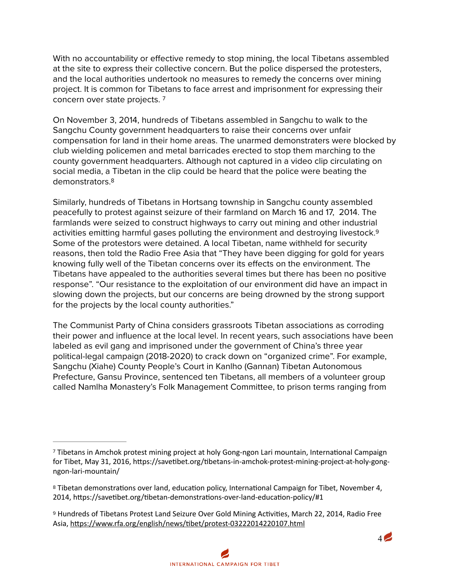With no accountability or effective remedy to stop mining, the local Tibetans assembled at the site to express their collective concern. But the police dispersed the protesters, and the local authorities undertook no measures to remedy the concerns over mining project. It is common for Tibetans to face arrest and imprisonment for expressing their concern over state projects. [7](#page-3-0)

<span id="page-3-3"></span>On November 3, 2014, hundreds of Tibetans assembled in Sangchu to walk to the Sangchu County government headquarters to raise their concerns over unfair compensation for land in their home areas. The unarmed demonstraters were blocked by club wielding policemen and metal barricades erected to stop them marching to the county government headquarters. Although not captured in a video clip circulating on social media, a Tibetan in the clip could be heard that the police were beating the demonstrators. [8](#page-3-1)

<span id="page-3-4"></span>Similarly, hundreds of Tibetans in Hortsang township in Sangchu county assembled peacefully to protest against seizure of their farmland on March 16 and 17, 2014. The farmlands were seized to construct highways to carry out mining and other industrial activities emitting harmful gases polluting the environment and destroying livestock[.9](#page-3-2) Some of the protestors were detained. A local Tibetan, name withheld for security reasons, then told the Radio Free Asia that "They have been digging for gold for years knowing fully well of the Tibetan concerns over its effects on the environment. The Tibetans have appealed to the authorities several times but there has been no positive response". "Our resistance to the exploitation of our environment did have an impact in slowing down the projects, but our concerns are being drowned by the strong support for the projects by the local county authorities."

The Communist Party of China considers grassroots Tibetan associations as corroding their power and influence at the local level. In recent years, such associations have been labeled as evil gang and imprisoned under the government of China's three year political-legal campaign (2018-2020) to crack down on "organized crime". For example, Sangchu (Xiahe) County People's Court in Kanlho (Gannan) Tibetan Autonomous Prefecture, Gansu Province, sentenced ten Tibetans, all members of a volunteer group called Namlha Monastery's Folk Management Committee, to prison terms ranging from

<span id="page-3-5"></span>

<span id="page-3-0"></span><sup>&</sup>lt;sup>[7](#page-3-3)</sup> Tibetans in Amchok protest mining project at holy Gong-ngon Lari mountain, International Campaign for Tibet, May 31, 2016, https://savetibet.org/tibetans-in-amchok-protest-mining-project-at-holy-gong[ngon-lari-mountain/](https://savetibet.org/tibetans-in-amchok-protest-mining-project-at-holy-gong-ngon-lari-mountain/)

<span id="page-3-1"></span><sup>&</sup>lt;sup>[8](#page-3-4)</sup> Tibetan demonstrations over land, education policy, International Campaign for Tibet, November 4, 2014, https://savetibet.org/tibetan-demonstrations-over-land-education-policy/#1

<span id="page-3-2"></span><sup>&</sup>lt;sup>[9](#page-3-5)</sup> Hundreds of Tibetans Protest Land Seizure Over Gold Mining Activities, March 22, 2014, Radio Free Asia, https://www.rfa.org/english/news/tibet/protest-03222014220107.html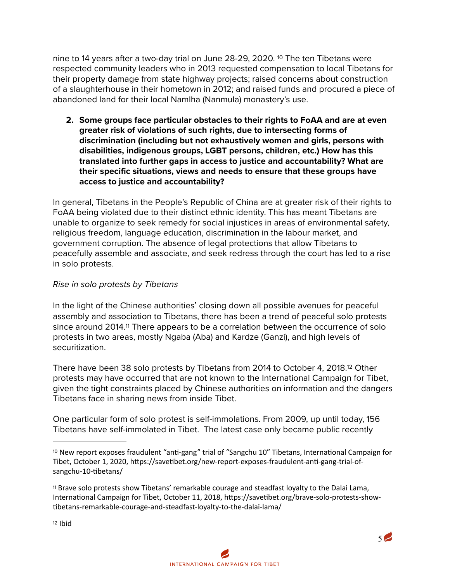nineto 14 years after a two-day trial on June 28-29, 2020.  $10$  The ten Tibetans were respected community leaders who in 2013 requested compensation to local Tibetans for their property damage from state highway projects; raised concerns about construction of a slaughterhouse in their hometown in 2012; and raised funds and procured a piece of abandoned land for their local Namlha (Nanmula) monastery's use.

<span id="page-4-3"></span>**2. Some groups face particular obstacles to their rights to FoAA and are at even greater risk of violations of such rights, due to intersecting forms of discrimination (including but not exhaustively women and girls, persons with disabilities, indigenous groups, LGBT persons, children, etc.) How has this translated into further gaps in access to justice and accountability? What are their specific situations, views and needs to ensure that these groups have access to justice and accountability?** 

In general, Tibetans in the People's Republic of China are at greater risk of their rights to FoAA being violated due to their distinct ethnic identity. This has meant Tibetans are unable to organize to seek remedy for social injustices in areas of environmental safety, religious freedom, language education, discrimination in the labour market, and government corruption. The absence of legal protections that allow Tibetans to peacefully assemble and associate, and seek redress through the court has led to a rise in solo protests.

## *Rise in solo protests by Tibetans*

<span id="page-4-4"></span>In the light of the Chinese authorities' closing down all possible avenues for peaceful assembly and association to Tibetans, there has been a trend of peaceful solo protests since around 2014.<sup>[11](#page-4-1)</sup> There appears to be a correlation between the occurrence of solo protests in two areas, mostly Ngaba (Aba) and Kardze (Ganzi), and high levels of securitization.

There have been 38 solo protests by Tibetans from 2014 to October 4, 2018.<sup>[12](#page-4-2)</sup> Other protests may have occurred that are not known to the International Campaign for Tibet, given the tight constraints placed by Chinese authorities on information and the dangers Tibetans face in sharing news from inside Tibet.

One particular form of solo protest is self-immolations. From 2009, up until today, 156 Tibetans have self-immolated in Tibet. The latest case only became public recently

<span id="page-4-2"></span>[12](#page-4-5) Ibid

<span id="page-4-5"></span>

<span id="page-4-0"></span> $10$  New report exposes fraudulent "anti-gang" trial of "Sangchu 10" Tibetans, International Campaign for Tibet, October 1, 2020, https://savetibet.org/new-report-exposes-fraudulent-anti-gang-trial-ofsangchu-10-tibetans/

<span id="page-4-1"></span><sup>&</sup>lt;sup>[11](#page-4-4)</sup> Brave solo protests show Tibetans' remarkable courage and steadfast loyalty to the Dalai Lama, International Campaign for Tibet, October 11, 2018, https://savetibet.org/brave-solo-protests-show-&betans-remarkable-courage-and-steadfast-loyalty-to-the-dalai-lama/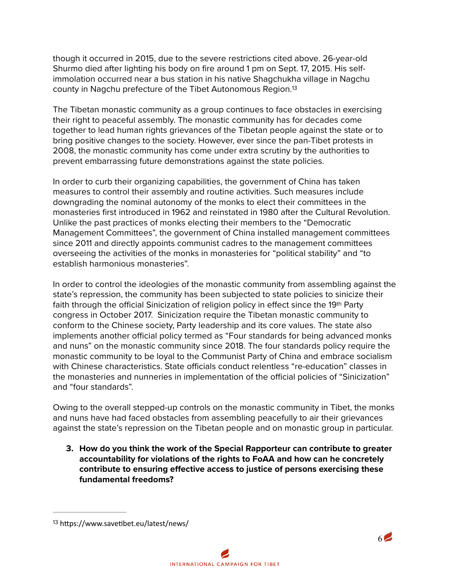though it occurred in 2015, due to the severe restrictions cited above. 26-year-old Shurmo died after lighting his body on fire around 1 pm on Sept. 17, 2015. His selfimmolation occurred near a bus station in his native Shagchukha village in Nagchu county in Nagchu prefecture of the Tibet Autonomous Region[.13](#page-5-0)

<span id="page-5-1"></span>The Tibetan monastic community as a group continues to face obstacles in exercising their right to peaceful assembly. The monastic community has for decades come together to lead human rights grievances of the Tibetan people against the state or to bring positive changes to the society. However, ever since the pan-Tibet protests in 2008, the monastic community has come under extra scrutiny by the authorities to prevent embarrassing future demonstrations against the state policies.

In order to curb their organizing capabilities, the government of China has taken measures to control their assembly and routine activities. Such measures include downgrading the nominal autonomy of the monks to elect their committees in the monasteries first introduced in 1962 and reinstated in 1980 after the Cultural Revolution. Unlike the past practices of monks electing their members to the "Democratic Management Committees", the government of China installed management committees since 2011 and directly appoints communist cadres to the management committees overseeing the activities of the monks in monasteries for "political stability" and "to establish harmonious monasteries".

In order to control the ideologies of the monastic community from assembling against the state's repression, the community has been subjected to state policies to sinicize their faith through the official Sinicization of religion policy in effect since the 19<sup>th</sup> Party congress in October 2017. Sinicization require the Tibetan monastic community to conform to the Chinese society, Party leadership and its core values. The state also implements another official policy termed as "Four standards for being advanced monks and nuns" on the monastic community since 2018. The four standards policy require the monastic community to be loyal to the Communist Party of China and embrace socialism with Chinese characteristics. State officials conduct relentless "re-education" classes in the monasteries and nunneries in implementation of the official policies of "Sinicization" and "four standards".

Owing to the overall stepped-up controls on the monastic community in Tibet, the monks and nuns have had faced obstacles from assembling peacefully to air their grievances against the state's repression on the Tibetan people and on monastic group in particular.

**3. How do you think the work of the Special Rapporteur can contribute to greater accountability for violations of the rights to FoAA and how can he concretely contribute to ensuring effective access to justice of persons exercising these fundamental freedoms?** 



<span id="page-5-0"></span>[<sup>13</sup>](#page-5-1) https://www.savetibet.eu/latest/news/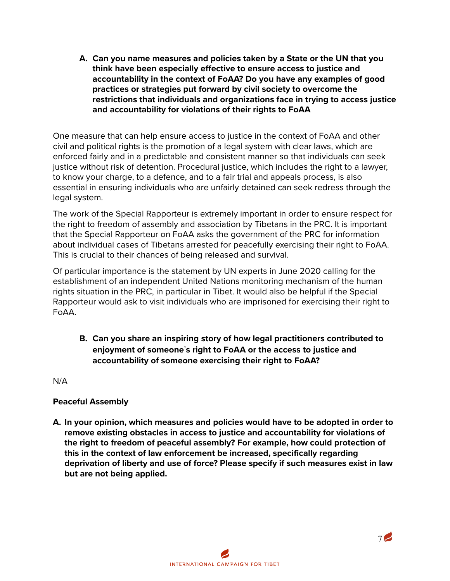**A. Can you name measures and policies taken by a State or the UN that you think have been especially effective to ensure access to justice and accountability in the context of FoAA? Do you have any examples of good practices or strategies put forward by civil society to overcome the restrictions that individuals and organizations face in trying to access justice and accountability for violations of their rights to FoAA** 

One measure that can help ensure access to justice in the context of FoAA and other civil and political rights is the promotion of a legal system with clear laws, which are enforced fairly and in a predictable and consistent manner so that individuals can seek justice without risk of detention. Procedural justice, which includes the right to a lawyer, to know your charge, to a defence, and to a fair trial and appeals process, is also essential in ensuring individuals who are unfairly detained can seek redress through the legal system.

The work of the Special Rapporteur is extremely important in order to ensure respect for the right to freedom of assembly and association by Tibetans in the PRC. It is important that the Special Rapporteur on FoAA asks the government of the PRC for information about individual cases of Tibetans arrested for peacefully exercising their right to FoAA. This is crucial to their chances of being released and survival.

Of particular importance is the statement by UN experts in June 2020 calling for the establishment of an independent United Nations monitoring mechanism of the human rights situation in the PRC, in particular in Tibet. It would also be helpful if the Special Rapporteur would ask to visit individuals who are imprisoned for exercising their right to FoAA.

**B. Can you share an inspiring story of how legal practitioners contributed to enjoyment of someone**'**s right to FoAA or the access to justice and accountability of someone exercising their right to FoAA?** 

N/A

### **Peaceful Assembly**

**A. In your opinion, which measures and policies would have to be adopted in order to remove existing obstacles in access to justice and accountability for violations of the right to freedom of peaceful assembly? For example, how could protection of this in the context of law enforcement be increased, specifically regarding deprivation of liberty and use of force? Please specify if such measures exist in law but are not being applied.** 

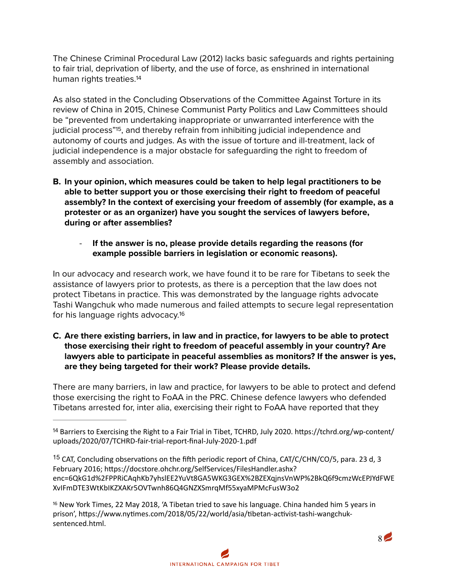<span id="page-7-3"></span>The Chinese Criminal Procedural Law (2012) lacks basic safeguards and rights pertaining to fair trial, deprivation of liberty, and the use of force, as enshrined in international human rights treaties[.](#page-7-0)<sup>[14](#page-7-0)</sup>

<span id="page-7-4"></span>As also stated in the Concluding Observations of the Committee Against Torture in its review of China in 2015, Chinese Communist Party Politics and Law Committees should be "prevented from undertaking inappropriate or unwarranted interference with the judicial process"<sup>[15](#page-7-1)</sup>, and thereby refrain from inhibiting judicial independence and autonomy of courts and judges. As with the issue of torture and ill-treatment, lack of judicial independence is a major obstacle for safeguarding the right to freedom of assembly and association.

- **B. In your opinion, which measures could be taken to help legal practitioners to be able to better support you or those exercising their right to freedom of peaceful assembly? In the context of exercising your freedom of assembly (for example, as a protester or as an organizer) have you sought the services of lawyers before, during or after assemblies?** 
	- **If the answer is no, please provide details regarding the reasons (for example possible barriers in legislation or economic reasons).**

In our advocacy and research work, we have found it to be rare for Tibetans to seek the assistance of lawyers prior to protests, as there is a perception that the law does not protect Tibetans in practice. This was demonstrated by the language rights advocate Tashi Wangchuk who made numerous and failed attempts to secure legal representation for his language rights advocacy[.](#page-7-2)<sup>[16](#page-7-2)</sup>

<span id="page-7-5"></span>**C. Are there existing barriers, in law and in practice, for lawyers to be able to protect those exercising their right to freedom of peaceful assembly in your country? Are lawyers able to participate in peaceful assemblies as monitors? If the answer is yes, are they being targeted for their work? Please provide details.** 

There are many barriers, in law and practice, for lawyers to be able to protect and defend those exercising the right to FoAA in the PRC. Chinese defence lawyers who defended Tibetans arrested for, inter alia, exercising their right to FoAA have reported that they

<span id="page-7-0"></span><sup>[14](#page-7-3)</sup> Barriers to Exercising the Right to a Fair Trial in Tibet, TCHRD, July 2020. https://tchrd.org/wp-content/ uploads/2020/07/TCHRD-fair-trial-report-final-July-2020-1.pdf

<span id="page-7-1"></span><sup>[15](#page-7-4)</sup> CAT, Concluding observations on the fifth periodic report of China, CAT/C/CHN/CO/5, para. 23 d, 3 February 2016; https://docstore.ohchr.org/SelfServices/FilesHandler.ashx? enc=6QkG1d%2FPPRiCAqhKb7yhslEE2YuVt8GA5WKG3GEX%2BZEXqjnsVnWP%2BkQ6f9cmzWcEPJYdFWE XvIFmDTE3WtKbIKZXAKr5OVTwnh86Q4GNZXSmrqMf55xyaMPMcFusW3o2

<span id="page-7-2"></span> $16$  New York Times, 22 May 2018, 'A Tibetan tried to save his language. China handed him 5 years in prison', https://www.nytimes.com/2018/05/22/world/asia/tibetan-activist-tashi-wangchuksentenced.html.